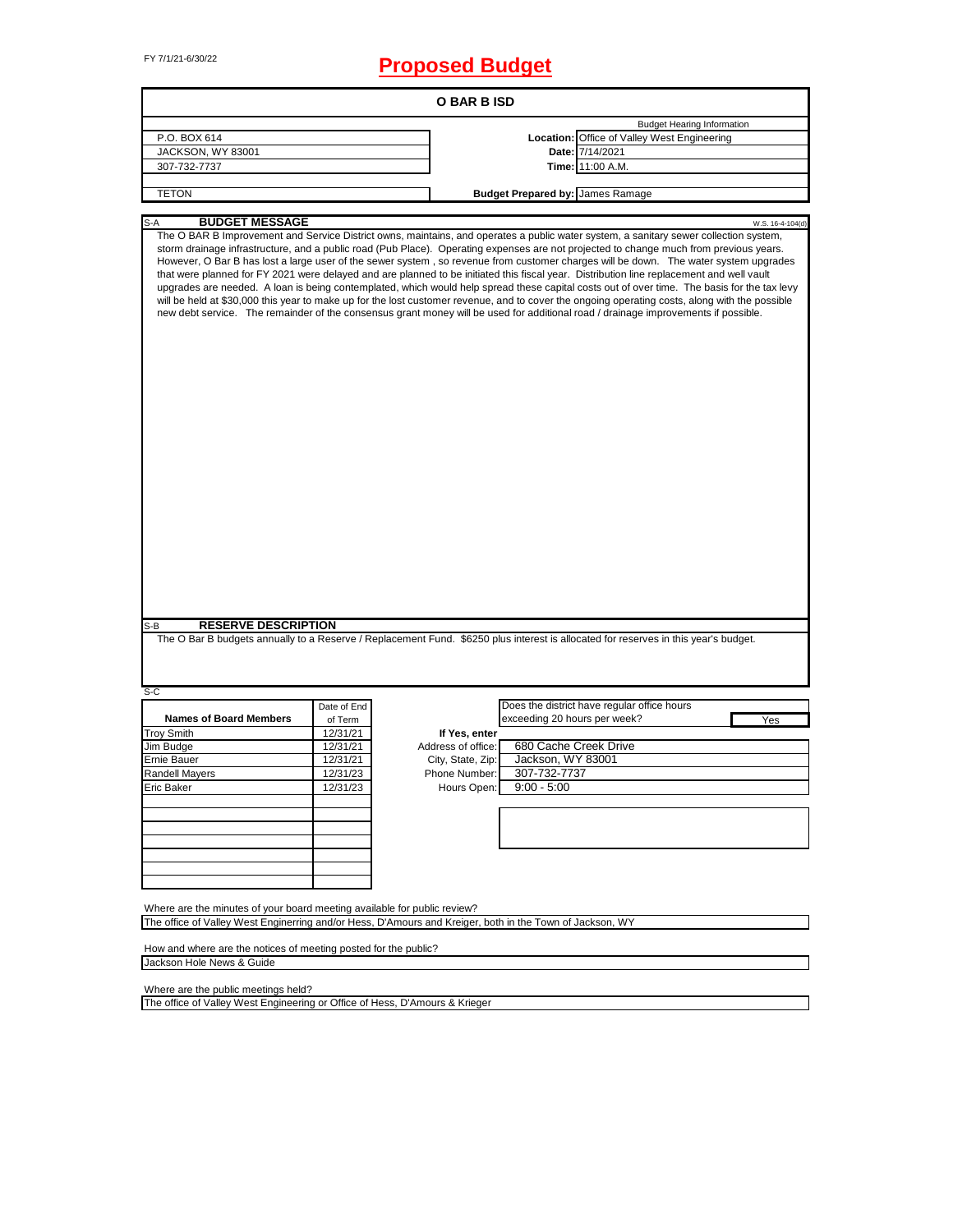## FY 7/1/21-6/30/22 **Proposed Budget**

| <b>O BAR B ISD</b>                                                                                                                                                                   |                                   |                    |                                         |                                                                                                                                                                                                                                                                                                                                                                                                                                                                                                                                                                                                                                                                                                                                                                                                                                                                                                                                                                                                                                                                                                                                                                        |  |  |  |  |  |  |
|--------------------------------------------------------------------------------------------------------------------------------------------------------------------------------------|-----------------------------------|--------------------|-----------------------------------------|------------------------------------------------------------------------------------------------------------------------------------------------------------------------------------------------------------------------------------------------------------------------------------------------------------------------------------------------------------------------------------------------------------------------------------------------------------------------------------------------------------------------------------------------------------------------------------------------------------------------------------------------------------------------------------------------------------------------------------------------------------------------------------------------------------------------------------------------------------------------------------------------------------------------------------------------------------------------------------------------------------------------------------------------------------------------------------------------------------------------------------------------------------------------|--|--|--|--|--|--|
|                                                                                                                                                                                      | <b>Budget Hearing Information</b> |                    |                                         |                                                                                                                                                                                                                                                                                                                                                                                                                                                                                                                                                                                                                                                                                                                                                                                                                                                                                                                                                                                                                                                                                                                                                                        |  |  |  |  |  |  |
| P.O. BOX 614                                                                                                                                                                         |                                   |                    |                                         | Location: Office of Valley West Engineering                                                                                                                                                                                                                                                                                                                                                                                                                                                                                                                                                                                                                                                                                                                                                                                                                                                                                                                                                                                                                                                                                                                            |  |  |  |  |  |  |
| JACKSON, WY 83001                                                                                                                                                                    |                                   |                    |                                         | Date: 7/14/2021                                                                                                                                                                                                                                                                                                                                                                                                                                                                                                                                                                                                                                                                                                                                                                                                                                                                                                                                                                                                                                                                                                                                                        |  |  |  |  |  |  |
| 307-732-7737                                                                                                                                                                         |                                   |                    |                                         | Time: 11:00 A.M.                                                                                                                                                                                                                                                                                                                                                                                                                                                                                                                                                                                                                                                                                                                                                                                                                                                                                                                                                                                                                                                                                                                                                       |  |  |  |  |  |  |
|                                                                                                                                                                                      |                                   |                    |                                         |                                                                                                                                                                                                                                                                                                                                                                                                                                                                                                                                                                                                                                                                                                                                                                                                                                                                                                                                                                                                                                                                                                                                                                        |  |  |  |  |  |  |
| <b>TETON</b>                                                                                                                                                                         |                                   |                    | <b>Budget Prepared by: James Ramage</b> |                                                                                                                                                                                                                                                                                                                                                                                                                                                                                                                                                                                                                                                                                                                                                                                                                                                                                                                                                                                                                                                                                                                                                                        |  |  |  |  |  |  |
|                                                                                                                                                                                      |                                   |                    |                                         |                                                                                                                                                                                                                                                                                                                                                                                                                                                                                                                                                                                                                                                                                                                                                                                                                                                                                                                                                                                                                                                                                                                                                                        |  |  |  |  |  |  |
| <b>BUDGET MESSAGE</b><br>S-A<br><b>RESERVE DESCRIPTION</b><br>S-B                                                                                                                    |                                   |                    |                                         | W.S. 16-4-104(d)<br>The O BAR B Improvement and Service District owns, maintains, and operates a public water system, a sanitary sewer collection system,<br>storm drainage infrastructure, and a public road (Pub Place). Operating expenses are not projected to change much from previous years.<br>However, O Bar B has lost a large user of the sewer system, so revenue from customer charges will be down. The water system upgrades<br>that were planned for FY 2021 were delayed and are planned to be initiated this fiscal year. Distribution line replacement and well vault<br>upgrades are needed. A loan is being contemplated, which would help spread these capital costs out of over time. The basis for the tax levy<br>will be held at \$30,000 this year to make up for the lost customer revenue, and to cover the ongoing operating costs, along with the possible<br>new debt service. The remainder of the consensus grant money will be used for additional road / drainage improvements if possible.<br>The O Bar B budgets annually to a Reserve / Replacement Fund. \$6250 plus interest is allocated for reserves in this year's budget. |  |  |  |  |  |  |
| $S-C$                                                                                                                                                                                |                                   |                    |                                         |                                                                                                                                                                                                                                                                                                                                                                                                                                                                                                                                                                                                                                                                                                                                                                                                                                                                                                                                                                                                                                                                                                                                                                        |  |  |  |  |  |  |
|                                                                                                                                                                                      | Date of End                       |                    |                                         | Does the district have regular office hours                                                                                                                                                                                                                                                                                                                                                                                                                                                                                                                                                                                                                                                                                                                                                                                                                                                                                                                                                                                                                                                                                                                            |  |  |  |  |  |  |
| <b>Names of Board Members</b>                                                                                                                                                        | of Term                           |                    | exceeding 20 hours per week?            | Yes                                                                                                                                                                                                                                                                                                                                                                                                                                                                                                                                                                                                                                                                                                                                                                                                                                                                                                                                                                                                                                                                                                                                                                    |  |  |  |  |  |  |
| <b>Troy Smith</b>                                                                                                                                                                    | 12/31/21                          | If Yes, enter      |                                         |                                                                                                                                                                                                                                                                                                                                                                                                                                                                                                                                                                                                                                                                                                                                                                                                                                                                                                                                                                                                                                                                                                                                                                        |  |  |  |  |  |  |
| Jim Budge                                                                                                                                                                            | 12/31/21                          | Address of office: | 680 Cache Creek Drive                   |                                                                                                                                                                                                                                                                                                                                                                                                                                                                                                                                                                                                                                                                                                                                                                                                                                                                                                                                                                                                                                                                                                                                                                        |  |  |  |  |  |  |
| Ernie Bauer                                                                                                                                                                          | 12/31/21                          | City, State, Zip:  | Jackson, WY 83001                       |                                                                                                                                                                                                                                                                                                                                                                                                                                                                                                                                                                                                                                                                                                                                                                                                                                                                                                                                                                                                                                                                                                                                                                        |  |  |  |  |  |  |
|                                                                                                                                                                                      | 12/31/23                          | Phone Number:      | 307-732-7737                            |                                                                                                                                                                                                                                                                                                                                                                                                                                                                                                                                                                                                                                                                                                                                                                                                                                                                                                                                                                                                                                                                                                                                                                        |  |  |  |  |  |  |
| <b>Randell Mayers</b>                                                                                                                                                                |                                   |                    |                                         |                                                                                                                                                                                                                                                                                                                                                                                                                                                                                                                                                                                                                                                                                                                                                                                                                                                                                                                                                                                                                                                                                                                                                                        |  |  |  |  |  |  |
| <b>Eric Baker</b>                                                                                                                                                                    | 12/31/23                          | Hours Open:        | $9:00 - 5:00$                           |                                                                                                                                                                                                                                                                                                                                                                                                                                                                                                                                                                                                                                                                                                                                                                                                                                                                                                                                                                                                                                                                                                                                                                        |  |  |  |  |  |  |
|                                                                                                                                                                                      |                                   |                    |                                         |                                                                                                                                                                                                                                                                                                                                                                                                                                                                                                                                                                                                                                                                                                                                                                                                                                                                                                                                                                                                                                                                                                                                                                        |  |  |  |  |  |  |
|                                                                                                                                                                                      |                                   |                    |                                         |                                                                                                                                                                                                                                                                                                                                                                                                                                                                                                                                                                                                                                                                                                                                                                                                                                                                                                                                                                                                                                                                                                                                                                        |  |  |  |  |  |  |
|                                                                                                                                                                                      |                                   |                    |                                         |                                                                                                                                                                                                                                                                                                                                                                                                                                                                                                                                                                                                                                                                                                                                                                                                                                                                                                                                                                                                                                                                                                                                                                        |  |  |  |  |  |  |
|                                                                                                                                                                                      |                                   |                    |                                         |                                                                                                                                                                                                                                                                                                                                                                                                                                                                                                                                                                                                                                                                                                                                                                                                                                                                                                                                                                                                                                                                                                                                                                        |  |  |  |  |  |  |
|                                                                                                                                                                                      |                                   |                    |                                         |                                                                                                                                                                                                                                                                                                                                                                                                                                                                                                                                                                                                                                                                                                                                                                                                                                                                                                                                                                                                                                                                                                                                                                        |  |  |  |  |  |  |
|                                                                                                                                                                                      |                                   |                    |                                         |                                                                                                                                                                                                                                                                                                                                                                                                                                                                                                                                                                                                                                                                                                                                                                                                                                                                                                                                                                                                                                                                                                                                                                        |  |  |  |  |  |  |
| Where are the minutes of your board meeting available for public review?<br>The office of Valley West Enginerring and/or Hess, D'Amours and Kreiger, both in the Town of Jackson, WY |                                   |                    |                                         |                                                                                                                                                                                                                                                                                                                                                                                                                                                                                                                                                                                                                                                                                                                                                                                                                                                                                                                                                                                                                                                                                                                                                                        |  |  |  |  |  |  |
| How and where are the notices of meeting posted for the public?<br>Jackson Hole News & Guide                                                                                         |                                   |                    |                                         |                                                                                                                                                                                                                                                                                                                                                                                                                                                                                                                                                                                                                                                                                                                                                                                                                                                                                                                                                                                                                                                                                                                                                                        |  |  |  |  |  |  |
|                                                                                                                                                                                      |                                   |                    |                                         |                                                                                                                                                                                                                                                                                                                                                                                                                                                                                                                                                                                                                                                                                                                                                                                                                                                                                                                                                                                                                                                                                                                                                                        |  |  |  |  |  |  |
| Where are the public meetings held?                                                                                                                                                  |                                   |                    |                                         |                                                                                                                                                                                                                                                                                                                                                                                                                                                                                                                                                                                                                                                                                                                                                                                                                                                                                                                                                                                                                                                                                                                                                                        |  |  |  |  |  |  |
| The office of Valley West Engineering or Office of Hess, D'Amours & Krieger                                                                                                          |                                   |                    |                                         |                                                                                                                                                                                                                                                                                                                                                                                                                                                                                                                                                                                                                                                                                                                                                                                                                                                                                                                                                                                                                                                                                                                                                                        |  |  |  |  |  |  |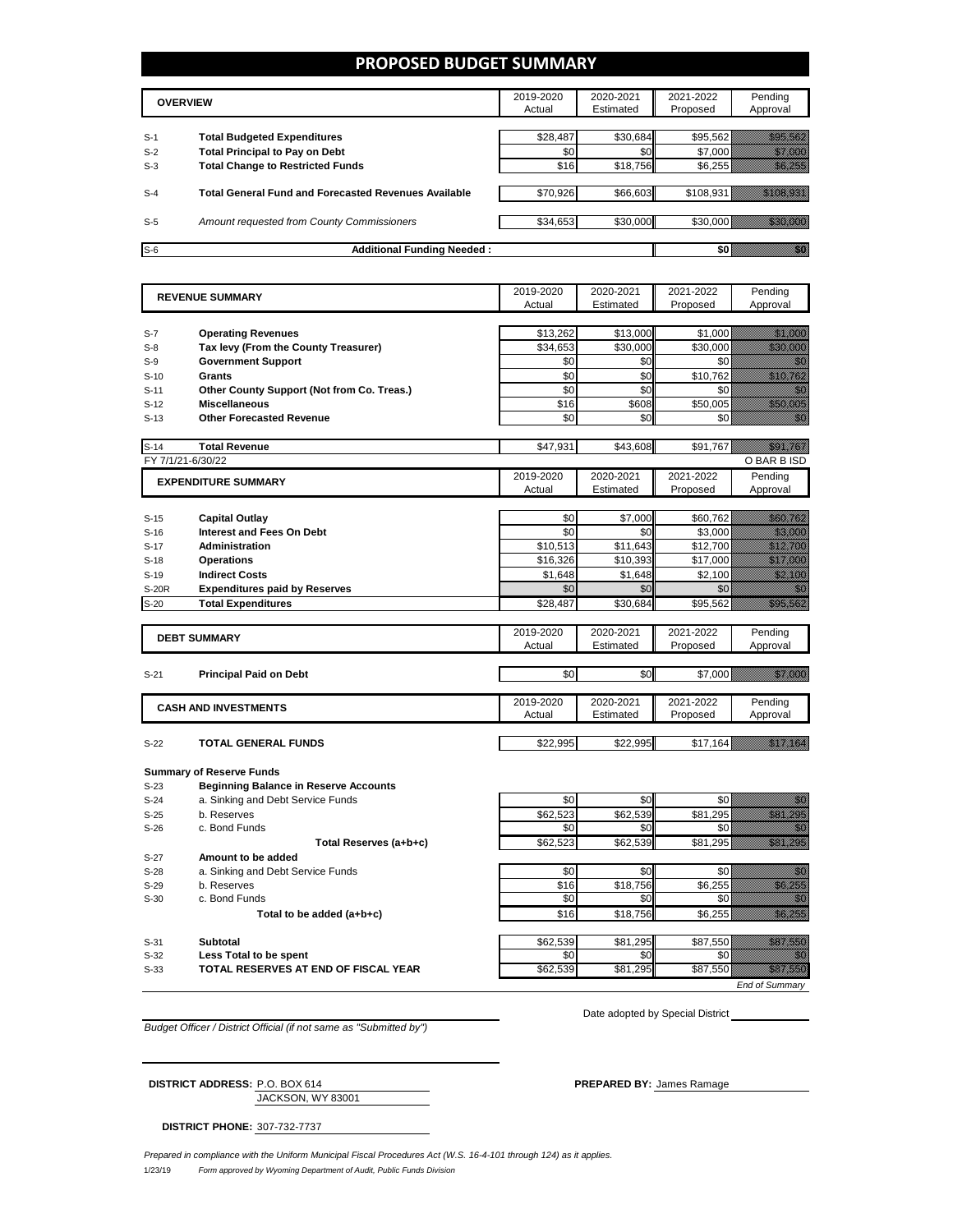## **PROPOSED BUDGET SUMMARY**

|       | <b>OVERVIEW</b>                                             | 2019-2020<br>Actual | 2020-2021<br>Estimated | 2021-2022<br>Proposed | Pending<br>Approval |
|-------|-------------------------------------------------------------|---------------------|------------------------|-----------------------|---------------------|
| $S-1$ | <b>Total Budgeted Expenditures</b>                          | \$28,487            | \$30,684               | \$95,562              |                     |
| $S-2$ | <b>Total Principal to Pay on Debt</b>                       | \$0                 | \$0                    | \$7,000               |                     |
| $S-3$ | <b>Total Change to Restricted Funds</b>                     | \$16                | \$18,756               | \$6,255               |                     |
|       |                                                             |                     |                        |                       |                     |
| $S-4$ | <b>Total General Fund and Forecasted Revenues Available</b> | \$70,926            | \$66,603               | \$108,931             |                     |
|       |                                                             |                     |                        |                       |                     |
| $S-5$ | Amount requested from County Commissioners                  | \$34,653            | \$30,000               | \$30,000              |                     |
|       |                                                             |                     |                        |                       |                     |
| $S-6$ | <b>Additional Funding Needed:</b>                           |                     |                        |                       |                     |

| $S-7$             | <b>REVENUE SUMMARY</b>                                                            | 2019-2020       | 2020-2021       | 2021-2022       | Pending                                                                                                                                                                                                                          |
|-------------------|-----------------------------------------------------------------------------------|-----------------|-----------------|-----------------|----------------------------------------------------------------------------------------------------------------------------------------------------------------------------------------------------------------------------------|
|                   |                                                                                   | Actual          | Estimated       | Proposed        | Approval                                                                                                                                                                                                                         |
|                   |                                                                                   |                 |                 |                 |                                                                                                                                                                                                                                  |
|                   | <b>Operating Revenues</b>                                                         | \$13,262        | \$13,000        | \$1,000         | <u>Mille College</u>                                                                                                                                                                                                             |
| $S-8$             | Tax levy (From the County Treasurer)                                              | \$34,653        | \$30,000        | \$30.000        | <u> Kalendari Se</u>                                                                                                                                                                                                             |
| $S-9$             | <b>Government Support</b>                                                         | \$0             | \$0             | \$0             | en de la familie de la familie de la familie de la familie de la familie de la familie de la familie de la fam<br>De la familie de la familie de la familie de la familie de la familie de la familie de la familie de la famili |
| $S-10$            | Grants                                                                            | \$0             | \$0             | \$10,762        | a katalunggal sa katalunggal sa katalunggal sa katalunggal sa katalunggal sa katalunggal sa katalunggal sa kat                                                                                                                   |
| $S-11$            | Other County Support (Not from Co. Treas.)                                        | \$0             | \$0             | \$0             |                                                                                                                                                                                                                                  |
| $S-12$            | <b>Miscellaneous</b>                                                              | \$16            | \$608           | \$50.005        | <u> Karl Barat da</u>                                                                                                                                                                                                            |
| $S-13$            | <b>Other Forecasted Revenue</b>                                                   | \$0             | \$0             | \$0             | an dheka ku dheka ku dheka ku dheka ku dheka ku dheka ku dheka ku dheka ku dheka ku dheka ku dheka ku dheka ku<br>Marka ku dheka ku dheka ku dheka ku dheka ku dheka ku dheka ku dheka ku dheka ku dheka ku dheka ku dheka ku dh |
|                   |                                                                                   |                 |                 |                 |                                                                                                                                                                                                                                  |
| $S-14$            | <b>Total Revenue</b>                                                              | \$47,931        | \$43.608        | \$91.767        | <u>tika k</u>                                                                                                                                                                                                                    |
| FY 7/1/21-6/30/22 |                                                                                   |                 |                 |                 | O BAR B ISD                                                                                                                                                                                                                      |
|                   | <b>EXPENDITURE SUMMARY</b>                                                        | 2019-2020       | 2020-2021       | 2021-2022       | Pending                                                                                                                                                                                                                          |
|                   |                                                                                   | Actual          | Estimated       | Proposed        | Approval                                                                                                                                                                                                                         |
|                   |                                                                                   |                 |                 |                 |                                                                                                                                                                                                                                  |
| $S-15$            | <b>Capital Outlay</b>                                                             | \$0             | \$7,000         | \$60,762        | <u> Timor a</u>                                                                                                                                                                                                                  |
| $S-16$            | <b>Interest and Fees On Debt</b>                                                  | \$0             | \$0             | \$3,000         | <u> Hillian Sa</u>                                                                                                                                                                                                               |
| $S-17$            | <b>Administration</b>                                                             | \$10,513        | \$11.643        | \$12,700        | <u>Tillitik sõn</u>                                                                                                                                                                                                              |
| $S-18$            | <b>Operations</b>                                                                 | \$16,326        | \$10,393        | \$17,000        | <u>Maria Sant</u>                                                                                                                                                                                                                |
| $S-19$            | <b>Indirect Costs</b>                                                             | \$1,648         | \$1,648         | \$2,100         | <u> Maria B</u>                                                                                                                                                                                                                  |
| <b>S-20R</b>      | <b>Expenditures paid by Reserves</b>                                              | \$0             | \$0             | \$0             | <u>man</u>                                                                                                                                                                                                                       |
| $S-20$            | <b>Total Expenditures</b>                                                         | \$28,487        | \$30.684        | \$95,562        | <u> Karl III ya kushi</u>                                                                                                                                                                                                        |
|                   |                                                                                   |                 |                 |                 |                                                                                                                                                                                                                                  |
|                   | <b>DEBT SUMMARY</b>                                                               | 2019-2020       | 2020-2021       | 2021-2022       | Pending                                                                                                                                                                                                                          |
|                   |                                                                                   | Actual          | Estimated       | Proposed        | Approval                                                                                                                                                                                                                         |
|                   |                                                                                   |                 |                 |                 |                                                                                                                                                                                                                                  |
| $S-21$            | <b>Principal Paid on Debt</b>                                                     | \$0             | \$0             | \$7,000         | <u>Milliones S</u>                                                                                                                                                                                                               |
|                   |                                                                                   | 2019-2020       | 2020-2021       | 2021-2022       | Pending                                                                                                                                                                                                                          |
|                   | <b>CASH AND INVESTMENTS</b>                                                       | Actual          | Estimated       | Proposed        | Approval                                                                                                                                                                                                                         |
|                   |                                                                                   |                 |                 |                 |                                                                                                                                                                                                                                  |
|                   |                                                                                   |                 |                 |                 |                                                                                                                                                                                                                                  |
|                   |                                                                                   |                 |                 |                 |                                                                                                                                                                                                                                  |
| $S-22$            | <b>TOTAL GENERAL FUNDS</b>                                                        | \$22,995        | \$22,995        | \$17,164        | <u>Tilling</u>                                                                                                                                                                                                                   |
|                   |                                                                                   |                 |                 |                 |                                                                                                                                                                                                                                  |
| $S-23$            | <b>Summary of Reserve Funds</b>                                                   |                 |                 |                 |                                                                                                                                                                                                                                  |
| $S-24$            | <b>Beginning Balance in Reserve Accounts</b><br>a. Sinking and Debt Service Funds | \$0             | \$0             | \$0             | 1999                                                                                                                                                                                                                             |
|                   | b. Reserves                                                                       |                 |                 |                 |                                                                                                                                                                                                                                  |
| $S-25$<br>$S-26$  | c. Bond Funds                                                                     | \$62,523<br>\$0 | \$62,539<br>\$0 | \$81,295<br>\$0 | a a a an t-òrdan an t-òrdan an t-òrdan an t-òrdan an t-òrdan an t-òrdan an t-òrdan an t-òrdan an t-òrdan an t-                                                                                                                   |
|                   |                                                                                   | \$62,523        | \$62,539        | \$81,295        | 1999<br><u>e de la construcción de la construcción de la construcción de la construcción de la construcción de la constru</u>                                                                                                    |
| $S-27$            | Total Reserves (a+b+c)<br>Amount to be added                                      |                 |                 |                 |                                                                                                                                                                                                                                  |
|                   |                                                                                   |                 |                 |                 |                                                                                                                                                                                                                                  |
| $S-28$<br>$S-29$  | a. Sinking and Debt Service Funds<br>b. Reserves                                  | \$0<br>\$16     | \$0<br>\$18,756 | \$0             | 11                                                                                                                                                                                                                               |
| $S-30$            | c. Bond Funds                                                                     | \$0             | \$0             | \$6,255<br>\$0  | <u> Hillian S</u>                                                                                                                                                                                                                |
|                   |                                                                                   |                 |                 |                 |                                                                                                                                                                                                                                  |
|                   | Total to be added (a+b+c)                                                         | \$16            | \$18,756        | \$6,255         | <u> Kalendari Ka</u>                                                                                                                                                                                                             |
|                   | <b>Subtotal</b>                                                                   |                 |                 |                 |                                                                                                                                                                                                                                  |
| $S-31$<br>$S-32$  | Less Total to be spent                                                            | \$62,539<br>\$0 | \$81,295<br>\$0 | \$87,550<br>\$0 | <u>Mariji ya K</u><br>74                                                                                                                                                                                                         |
| $S-33$            | TOTAL RESERVES AT END OF FISCAL YEAR                                              | \$62,539        | \$81.295        | \$87,550        | <u> Timoriya</u>                                                                                                                                                                                                                 |

*Budget Officer / District Official (if not same as "Submitted by")*

Date adopted by Special District \_

JACKSON, WY 83001 **DISTRICT ADDRESS:** P.O. BOX 614 **PREPARED BY:** James Ramage

**DISTRICT PHONE:** 307-732-7737

1/23/19 *Form approved by Wyoming Department of Audit, Public Funds Division Prepared in compliance with the Uniform Municipal Fiscal Procedures Act (W.S. 16-4-101 through 124) as it applies.*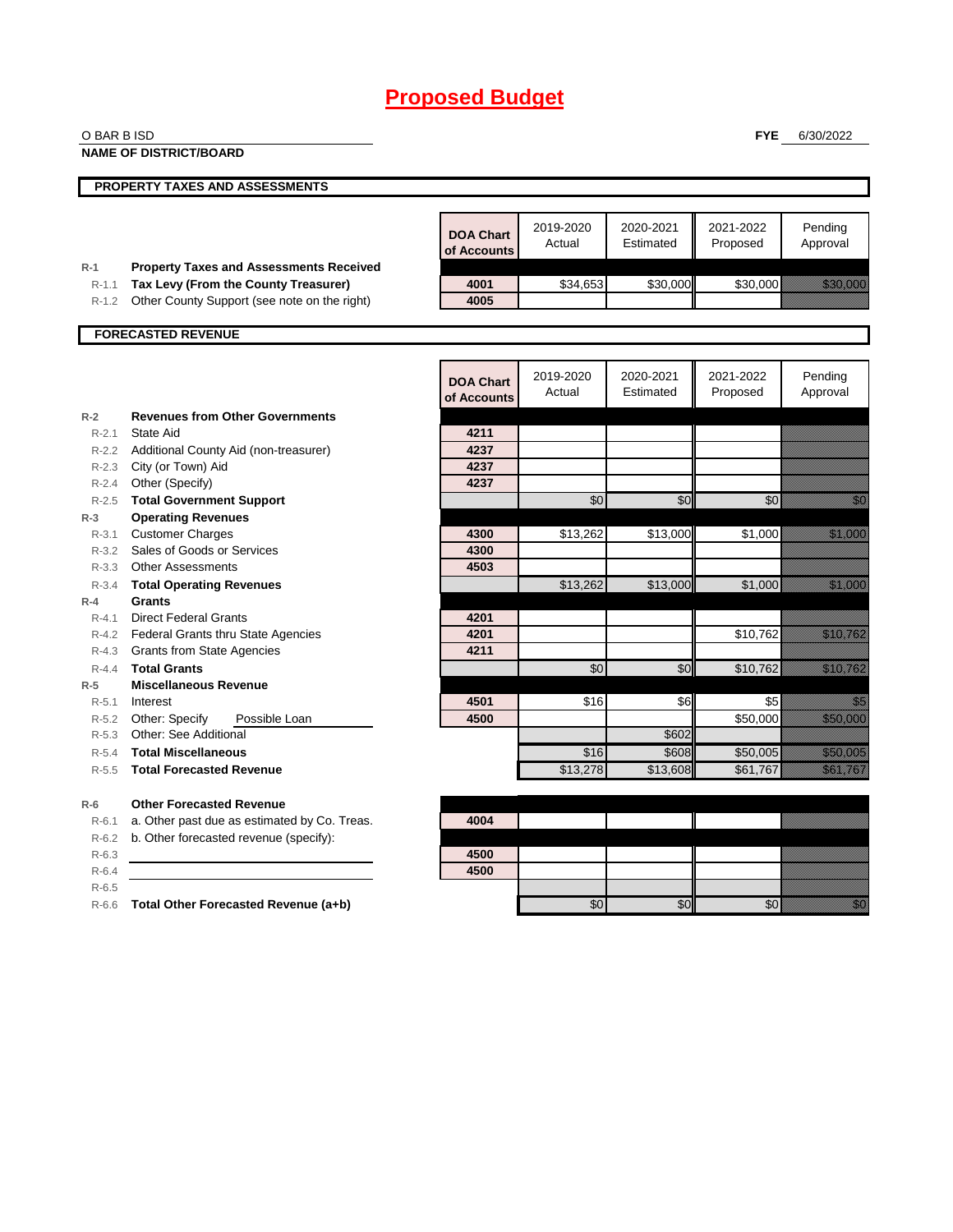| O BAR B ISD            |                                                                                        |                                 |                     |                        | <b>FYE</b>            | 6/30/2022                                                                                                                                                                                                                        |
|------------------------|----------------------------------------------------------------------------------------|---------------------------------|---------------------|------------------------|-----------------------|----------------------------------------------------------------------------------------------------------------------------------------------------------------------------------------------------------------------------------|
|                        | <b>NAME OF DISTRICT/BOARD</b>                                                          |                                 |                     |                        |                       |                                                                                                                                                                                                                                  |
|                        | PROPERTY TAXES AND ASSESSMENTS                                                         |                                 |                     |                        |                       |                                                                                                                                                                                                                                  |
|                        |                                                                                        |                                 |                     |                        |                       |                                                                                                                                                                                                                                  |
|                        |                                                                                        | <b>DOA Chart</b><br>of Accounts | 2019-2020<br>Actual | 2020-2021<br>Estimated | 2021-2022<br>Proposed | Pending<br>Approval                                                                                                                                                                                                              |
| $R-1$<br>$R-1.1$       | <b>Property Taxes and Assessments Received</b><br>Tax Levy (From the County Treasurer) | 4001                            | \$34,653            | \$30,000               | \$30,000              | <u> Kalendari Se</u>                                                                                                                                                                                                             |
| R-1.2                  | Other County Support (see note on the right)                                           | 4005                            |                     |                        |                       |                                                                                                                                                                                                                                  |
|                        |                                                                                        |                                 |                     |                        |                       |                                                                                                                                                                                                                                  |
|                        | <b>FORECASTED REVENUE</b>                                                              |                                 |                     |                        |                       |                                                                                                                                                                                                                                  |
|                        |                                                                                        | <b>DOA Chart</b><br>of Accounts | 2019-2020<br>Actual | 2020-2021<br>Estimated | 2021-2022<br>Proposed | Pending<br>Approval                                                                                                                                                                                                              |
| $R-2$                  | <b>Revenues from Other Governments</b>                                                 |                                 |                     |                        |                       |                                                                                                                                                                                                                                  |
| $R - 2.1$              | <b>State Aid</b>                                                                       | 4211                            |                     |                        |                       |                                                                                                                                                                                                                                  |
| $R - 2.2$<br>$R - 2.3$ | Additional County Aid (non-treasurer)<br>City (or Town) Aid                            | 4237<br>4237                    |                     |                        |                       |                                                                                                                                                                                                                                  |
| $R - 2.4$              | Other (Specify)                                                                        | 4237                            |                     |                        |                       |                                                                                                                                                                                                                                  |
|                        | R-2.5 Total Government Support                                                         |                                 | \$0                 | \$0                    | \$0                   | en de la familie de la familie de la familie de la familie de la familie de la familie de la familie de la fam<br>Constituit de la familie de la familie de la familie de la familie de la familie de la familie de la familie d |
| $R-3$                  | <b>Operating Revenues</b>                                                              |                                 |                     |                        |                       |                                                                                                                                                                                                                                  |
| R-3.1                  | <b>Customer Charges</b>                                                                | 4300                            | \$13,262            | \$13,000               | \$1,000               | <u>tik ka</u>                                                                                                                                                                                                                    |
|                        | R-3.2 Sales of Goods or Services                                                       | 4300                            |                     |                        |                       |                                                                                                                                                                                                                                  |
| $R - 3.3$              | <b>Other Assessments</b>                                                               | 4503                            |                     |                        |                       |                                                                                                                                                                                                                                  |
| $R - 3.4$<br>$R-4$     | <b>Total Operating Revenues</b><br><b>Grants</b>                                       |                                 | \$13,262            | \$13,000               | \$1,000               | <u>till framförfattar och en sta</u>                                                                                                                                                                                             |
| $R - 4.1$              | <b>Direct Federal Grants</b>                                                           | 4201                            |                     |                        |                       |                                                                                                                                                                                                                                  |
| $R-4.2$                | Federal Grants thru State Agencies                                                     | 4201                            |                     |                        | \$10,762              | <u> Karl III (</u>                                                                                                                                                                                                               |
| R-4.3                  | <b>Grants from State Agencies</b>                                                      | 4211                            |                     |                        |                       |                                                                                                                                                                                                                                  |
| $R - 4.4$              | <b>Total Grants</b>                                                                    |                                 | \$0                 | \$0                    | \$10,762              | <u> Karati (</u>                                                                                                                                                                                                                 |
| $R-5$                  | <b>Miscellaneous Revenue</b>                                                           |                                 |                     |                        |                       |                                                                                                                                                                                                                                  |
| $R - 5.1$              | Interest                                                                               | 4501                            | \$16                | \$6                    | \$5                   | e di Sala                                                                                                                                                                                                                        |
| R-5.2                  | Other: Specify<br>Possible Loan                                                        | 4500                            |                     |                        | \$50,000              | <u> Elizabeth C</u>                                                                                                                                                                                                              |
| R-5.3<br>$R - 5.4$     | Other: See Additional<br><b>Total Miscellaneous</b>                                    |                                 | \$16                | \$602<br>\$608         | \$50,005              | <u>ti ka</u>                                                                                                                                                                                                                     |
| $R - 5.5$              | <b>Total Forecasted Revenue</b>                                                        |                                 | \$13,278            | \$13,608               | \$61,767              | <u> Karl Lindon (</u>                                                                                                                                                                                                            |
|                        |                                                                                        |                                 |                     |                        |                       |                                                                                                                                                                                                                                  |
| $R-6$                  | <b>Other Forecasted Revenue</b>                                                        |                                 |                     |                        |                       |                                                                                                                                                                                                                                  |
| $R-6.1$                | a. Other past due as estimated by Co. Treas.                                           | 4004                            |                     |                        |                       |                                                                                                                                                                                                                                  |
| R-6.2                  | b. Other forecasted revenue (specify):                                                 |                                 |                     |                        |                       |                                                                                                                                                                                                                                  |
| $R-6.3$                |                                                                                        | 4500                            |                     |                        |                       |                                                                                                                                                                                                                                  |
| $R-6.4$                |                                                                                        | 4500                            |                     |                        |                       |                                                                                                                                                                                                                                  |
| $R-6.5$                |                                                                                        |                                 | \$0                 | \$0                    | \$0                   | en de la familie de la familie de la familie de la familie de la familie de la familie de la familie de la fam<br>Constitution de la familie de la familie de la familie de la familie de la familie de la familie de la familie |
|                        | R-6.6 Total Other Forecasted Revenue (a+b)                                             |                                 |                     |                        |                       |                                                                                                                                                                                                                                  |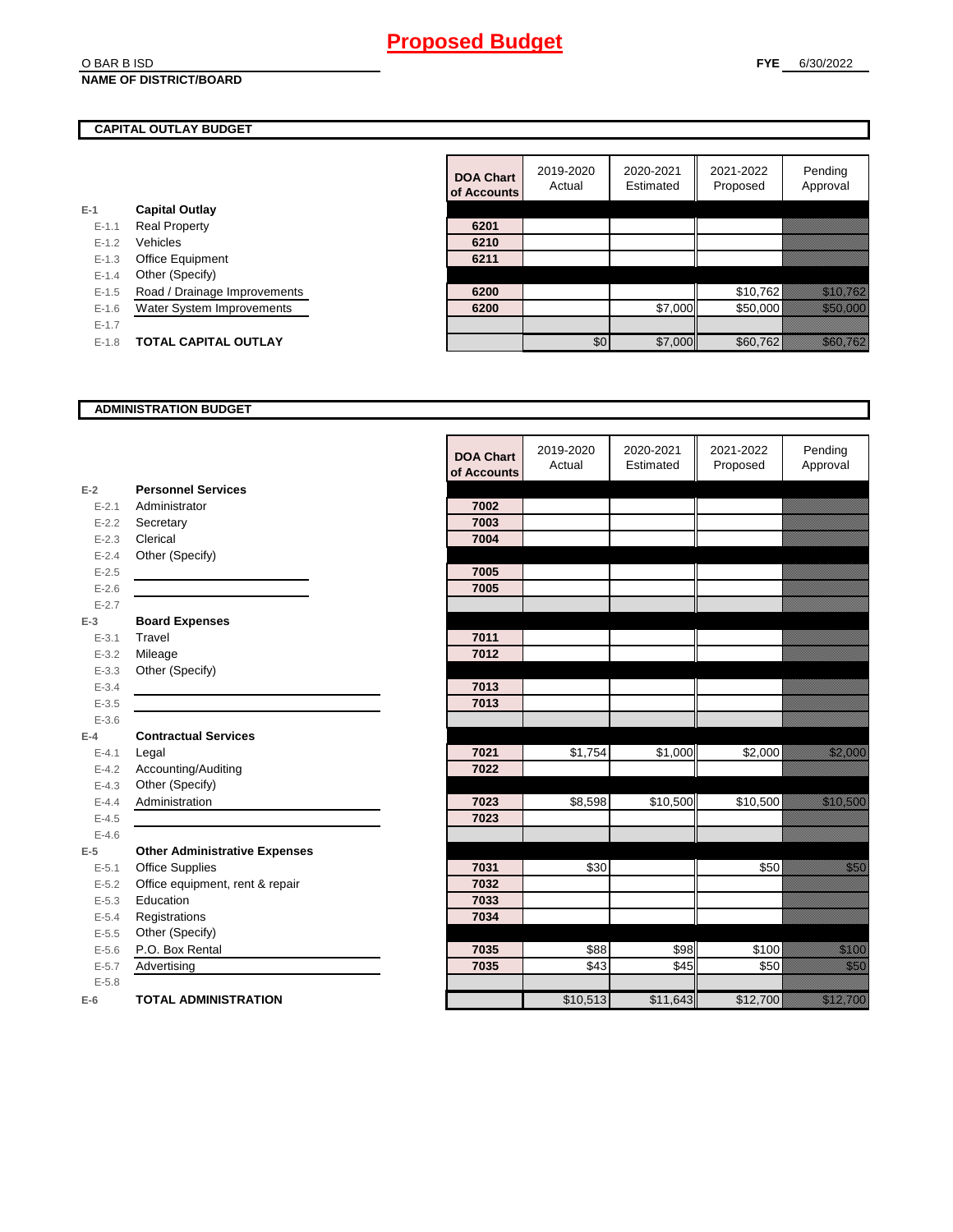#### O BAR B ISD **NAME OF DISTRICT/BOARD**

## **CAPITAL OUTLAY BUDGET**

|           |                              | <u>UI RUUUL</u> |
|-----------|------------------------------|-----------------|
| $E-1$     | <b>Capital Outlay</b>        |                 |
| $E - 1.1$ | <b>Real Property</b>         | 6201            |
| $E - 1.2$ | Vehicles                     | 6210            |
| $E-1.3$   | <b>Office Equipment</b>      | 6211            |
| $E - 1.4$ | Other (Specify)              |                 |
| $E - 1.5$ | Road / Drainage Improvements | 6200            |
| $E - 1.6$ | Water System Improvements    | 6200            |
| $E - 1.7$ |                              |                 |
| $F-1.8$   | <b>TOTAL CAPITAL OUTLAY</b>  |                 |
|           |                              |                 |

|           |                              | <b>DOA Chart</b> | 2019-2020<br>Actual | 2020-2021<br>Estimated | 2021-2022<br>Proposed | Pending<br>Approval                                                                                           |
|-----------|------------------------------|------------------|---------------------|------------------------|-----------------------|---------------------------------------------------------------------------------------------------------------|
|           |                              | of Accounts      |                     |                        |                       |                                                                                                               |
|           | <b>Capital Outlay</b>        |                  |                     |                        |                       |                                                                                                               |
| $E - 1.1$ | <b>Real Property</b>         | 6201             |                     |                        |                       |                                                                                                               |
| $E - 1.2$ | Vehicles                     | 6210             |                     |                        |                       |                                                                                                               |
| $E-1.3$   | Office Equipment             | 6211             |                     |                        |                       |                                                                                                               |
| $E-1.4$   | Other (Specify)              |                  |                     |                        |                       |                                                                                                               |
| $E - 1.5$ | Road / Drainage Improvements | 6200             |                     |                        | \$10,762              | <u> Karl Tingga</u>                                                                                           |
| $E-1.6$   | Water System Improvements    | 6200             |                     | \$7,000                | \$50,000              | <u> Harristo Sta</u>                                                                                          |
| $E-1.7$   |                              |                  |                     |                        |                       |                                                                                                               |
| $E-1.8$   | <b>TOTAL CAPITAL OUTLAY</b>  |                  | \$0                 | \$7,000                | \$60,762              | UMAN KANADA KANADA KANADA KANADA KANADA KANADA KANADA KANADA KANADA KANADA KANADA KANADA KANADA KANADA KANADA |

### **ADMINISTRATION BUDGET**

|           |                                      | <b>DOA Chart</b><br>of Accounts | 2019-2020<br>Actual | 2020-2021<br>Estimated | 2021-2022<br>Proposed | Pending<br>Approval                                                                                                                                                                                                             |
|-----------|--------------------------------------|---------------------------------|---------------------|------------------------|-----------------------|---------------------------------------------------------------------------------------------------------------------------------------------------------------------------------------------------------------------------------|
| $E-2$     | <b>Personnel Services</b>            |                                 |                     |                        |                       |                                                                                                                                                                                                                                 |
| $E - 2.1$ | Administrator                        | 7002                            |                     |                        |                       |                                                                                                                                                                                                                                 |
| $E - 2.2$ | Secretary                            | 7003                            |                     |                        |                       |                                                                                                                                                                                                                                 |
| $E - 2.3$ | Clerical                             | 7004                            |                     |                        |                       |                                                                                                                                                                                                                                 |
| $E - 2.4$ | Other (Specify)                      |                                 |                     |                        |                       |                                                                                                                                                                                                                                 |
| $E-2.5$   |                                      | 7005                            |                     |                        |                       |                                                                                                                                                                                                                                 |
| $E - 2.6$ |                                      | 7005                            |                     |                        |                       |                                                                                                                                                                                                                                 |
| $E - 2.7$ |                                      |                                 |                     |                        |                       |                                                                                                                                                                                                                                 |
| $E-3$     | <b>Board Expenses</b>                |                                 |                     |                        |                       |                                                                                                                                                                                                                                 |
| $E - 3.1$ | Travel                               | 7011                            |                     |                        |                       |                                                                                                                                                                                                                                 |
| $E - 3.2$ | Mileage                              | 7012                            |                     |                        |                       |                                                                                                                                                                                                                                 |
| $E - 3.3$ | Other (Specify)                      |                                 |                     |                        |                       |                                                                                                                                                                                                                                 |
| $E - 3.4$ |                                      | 7013                            |                     |                        |                       |                                                                                                                                                                                                                                 |
| $E - 3.5$ |                                      | 7013                            |                     |                        |                       |                                                                                                                                                                                                                                 |
| $E - 3.6$ |                                      |                                 |                     |                        |                       |                                                                                                                                                                                                                                 |
| $E-4$     | <b>Contractual Services</b>          |                                 |                     |                        |                       |                                                                                                                                                                                                                                 |
| $E - 4.1$ | Legal                                | 7021                            | \$1,754             | \$1,000                | \$2,000               | a a chuid ann an chuid an chuid an chuid an chuid an chuid an chuid an chuid an chuid an chuid an chuid an chu                                                                                                                  |
| $E-4.2$   | Accounting/Auditing                  | 7022                            |                     |                        |                       |                                                                                                                                                                                                                                 |
| $E-4.3$   | Other (Specify)                      |                                 |                     |                        |                       |                                                                                                                                                                                                                                 |
| $E - 4.4$ | Administration                       | 7023                            | \$8,598             | \$10,500               | \$10,500              | <u> Karl Sara</u>                                                                                                                                                                                                               |
| $E-4.5$   |                                      | 7023                            |                     |                        |                       |                                                                                                                                                                                                                                 |
| $E-4.6$   |                                      |                                 |                     |                        |                       |                                                                                                                                                                                                                                 |
| $E-5$     | <b>Other Administrative Expenses</b> |                                 |                     |                        |                       |                                                                                                                                                                                                                                 |
| $E - 5.1$ | <b>Office Supplies</b>               | 7031                            | \$30                |                        | \$50                  | <u>i k</u>                                                                                                                                                                                                                      |
| $E-5.2$   | Office equipment, rent & repair      | 7032                            |                     |                        |                       |                                                                                                                                                                                                                                 |
| $E-5.3$   | Education                            | 7033                            |                     |                        |                       |                                                                                                                                                                                                                                 |
| $E - 5.4$ | Registrations                        | 7034                            |                     |                        |                       |                                                                                                                                                                                                                                 |
| $E-5.5$   | Other (Specify)                      |                                 |                     |                        |                       |                                                                                                                                                                                                                                 |
| $E-5.6$   | P.O. Box Rental                      | 7035                            | \$88                | \$98                   | \$100                 | <u>ti ka</u>                                                                                                                                                                                                                    |
| $E - 5.7$ | Advertising                          | 7035                            | 343                 | \$45                   | \$50                  | <u>filipinale</u>                                                                                                                                                                                                               |
| $E - 5.8$ |                                      |                                 |                     |                        |                       |                                                                                                                                                                                                                                 |
| $E-6$     | <b>TOTAL ADMINISTRATION</b>          |                                 | \$10,513            | \$11,643               | \$12,700              | a katalunggal katalunggal katalunggal katalunggal katalunggal katalunggal katalunggal katalunggal katalunggal<br>Katalunggal katalunggal katalunggal katalunggal katalunggal katalunggal katalunggal katalunggal katalunggal ka |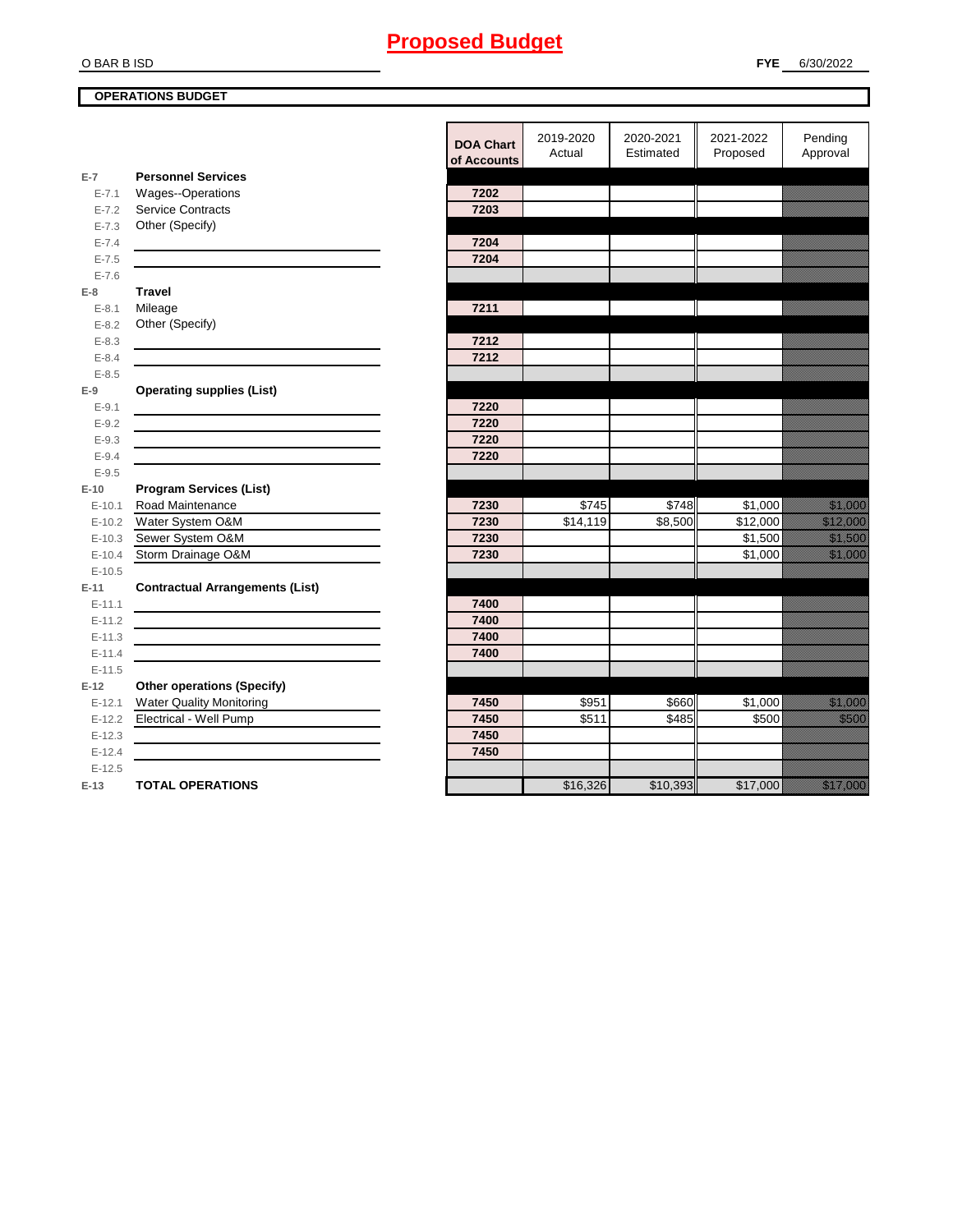# O BAR B ISD

**OPERATIONS BUDGET**

|            |                                        | <b>DOA Chart</b> | 2019-2020           | 2020-2021 | 2021-2022 | Pending                                                                                                                                                                                                                          |
|------------|----------------------------------------|------------------|---------------------|-----------|-----------|----------------------------------------------------------------------------------------------------------------------------------------------------------------------------------------------------------------------------------|
|            |                                        | of Accounts      | Actual              | Estimated | Proposed  | Approval                                                                                                                                                                                                                         |
| $E-7$      | <b>Personnel Services</b>              |                  |                     |           |           |                                                                                                                                                                                                                                  |
| $E - 7.1$  | Wages--Operations                      | 7202             |                     |           |           |                                                                                                                                                                                                                                  |
| $E - 7.2$  | <b>Service Contracts</b>               | 7203             |                     |           |           |                                                                                                                                                                                                                                  |
| $E - 7.3$  | Other (Specify)                        |                  |                     |           |           |                                                                                                                                                                                                                                  |
| $E - 7.4$  |                                        | 7204             |                     |           |           |                                                                                                                                                                                                                                  |
| $E - 7.5$  |                                        | 7204             |                     |           |           |                                                                                                                                                                                                                                  |
| $E - 7.6$  |                                        |                  |                     |           |           |                                                                                                                                                                                                                                  |
| $E-8$      | <b>Travel</b>                          |                  |                     |           |           |                                                                                                                                                                                                                                  |
| $E - 8.1$  | Mileage                                | 7211             |                     |           |           |                                                                                                                                                                                                                                  |
| $E - 8.2$  | Other (Specify)                        |                  |                     |           |           |                                                                                                                                                                                                                                  |
| $E - 8.3$  |                                        | 7212             |                     |           |           |                                                                                                                                                                                                                                  |
| $E - 8.4$  |                                        | 7212             |                     |           |           |                                                                                                                                                                                                                                  |
| $E - 8.5$  |                                        |                  |                     |           |           |                                                                                                                                                                                                                                  |
| $E-9$      | <b>Operating supplies (List)</b>       |                  |                     |           |           |                                                                                                                                                                                                                                  |
| $E-9.1$    |                                        | 7220             |                     |           |           |                                                                                                                                                                                                                                  |
| $E - 9.2$  |                                        | 7220             |                     |           |           |                                                                                                                                                                                                                                  |
| $E - 9.3$  |                                        | 7220             |                     |           |           |                                                                                                                                                                                                                                  |
| $E - 9.4$  |                                        | 7220             |                     |           |           |                                                                                                                                                                                                                                  |
| $E-9.5$    |                                        |                  |                     |           |           |                                                                                                                                                                                                                                  |
| $E-10$     | <b>Program Services (List)</b>         |                  |                     |           |           |                                                                                                                                                                                                                                  |
| $E - 10.1$ | Road Maintenance                       | 7230             | \$745               | \$748     | \$1,000   | <u> Mariji Septemba</u>                                                                                                                                                                                                          |
| $E-10.2$   | Water System O&M                       | 7230             | $\overline{14,119}$ | \$8,500   | \$12,000  | a katika katika katika katika katika katika katika katika katika katika katika katika katika katika katika kat<br>Katika katika katika katika katika katika katika katika katika katika katika katika katika katika katika katik |
| $E-10.3$   | Sewer System O&M                       | 7230             |                     |           | \$1,500   | <u>tionalised</u>                                                                                                                                                                                                                |
| $E-10.4$   | Storm Drainage O&M                     | 7230             |                     |           | \$1,000   | <u> Mariji Septemba</u>                                                                                                                                                                                                          |
| $E-10.5$   |                                        |                  |                     |           |           |                                                                                                                                                                                                                                  |
| $E-11$     | <b>Contractual Arrangements (List)</b> |                  |                     |           |           |                                                                                                                                                                                                                                  |
| $E-11.1$   |                                        | 7400             |                     |           |           |                                                                                                                                                                                                                                  |
| $E-11.2$   |                                        | 7400             |                     |           |           |                                                                                                                                                                                                                                  |
| $E-11.3$   |                                        | 7400             |                     |           |           |                                                                                                                                                                                                                                  |
| $E-11.4$   |                                        | 7400             |                     |           |           |                                                                                                                                                                                                                                  |
| $E-11.5$   |                                        |                  |                     |           |           |                                                                                                                                                                                                                                  |
| $E-12$     | <b>Other operations (Specify)</b>      |                  |                     |           |           |                                                                                                                                                                                                                                  |
| $E-12.1$   | <b>Water Quality Monitoring</b>        | 7450             | \$951               | \$660     | \$1,000   | <u>tinggal sa</u>                                                                                                                                                                                                                |
| $E-12.2$   | Electrical - Well Pump                 | 7450             | \$511               | \$485     | \$500     | <u>tik k</u>                                                                                                                                                                                                                     |
| $E-12.3$   |                                        | 7450             |                     |           |           |                                                                                                                                                                                                                                  |
| $E-12.4$   |                                        | 7450             |                     |           |           |                                                                                                                                                                                                                                  |
| $E-12.5$   |                                        |                  |                     |           |           |                                                                                                                                                                                                                                  |
| $E-13$     | <b>TOTAL OPERATIONS</b>                |                  | \$16,326            | \$10,393  | \$17,000  | a katika katika katika katika katika katika katika katika katika katika katika katika katika katika katika kat<br>Katika katika katika katika katika katika katika katika katika katika katika katika katika katika katika katik |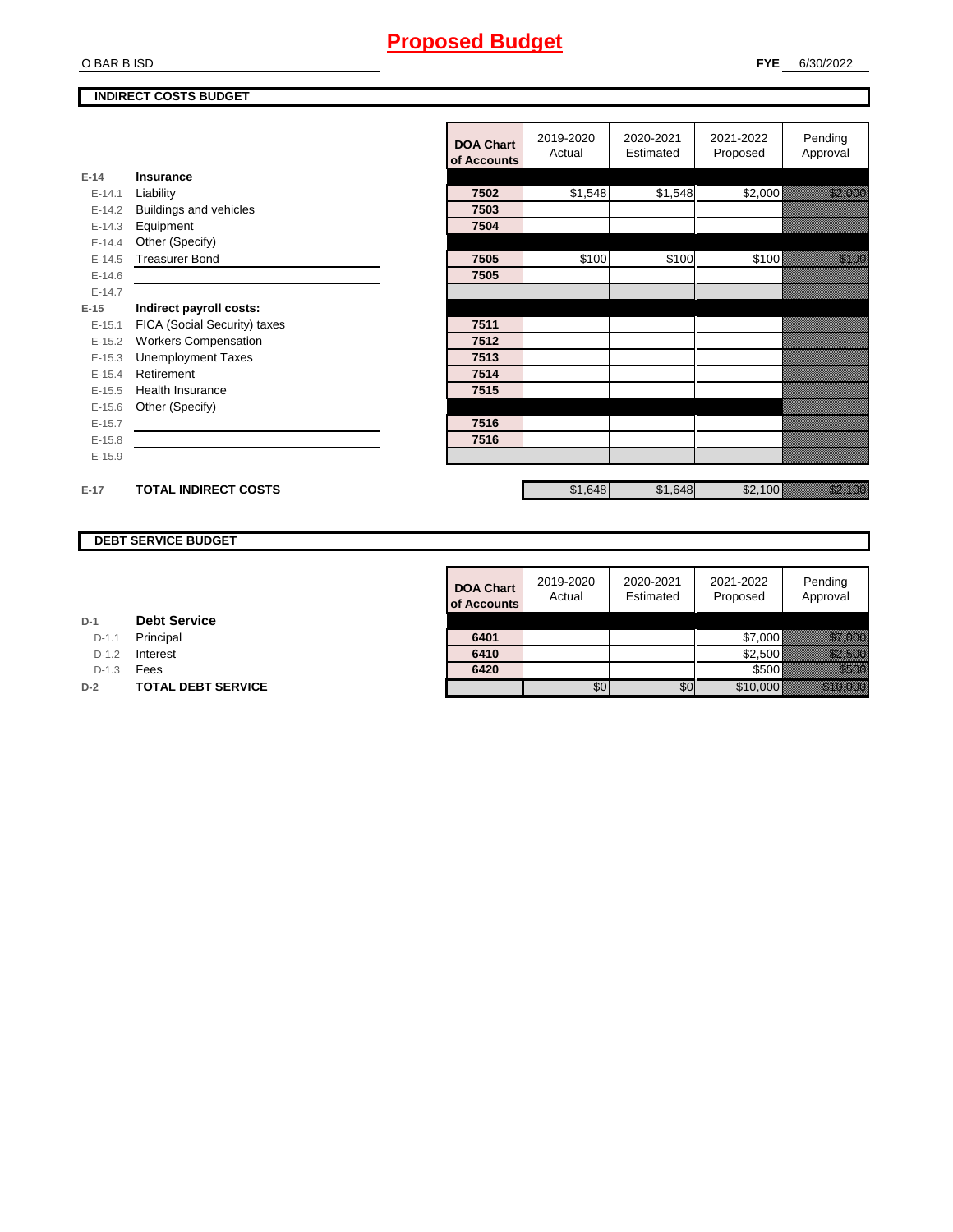#### O BAR B ISD

#### **INDIRECT COSTS BUDGET**

|          |                              | <b>DOA Chart</b><br>of Accounts | 2019-2020<br>Actual | 2020-2021<br>Estimated | 2021-2022<br>Proposed | Pending<br>Approval                                                                                                   |
|----------|------------------------------|---------------------------------|---------------------|------------------------|-----------------------|-----------------------------------------------------------------------------------------------------------------------|
| $E-14$   | Insurance                    |                                 |                     |                        |                       |                                                                                                                       |
| $E-14.1$ | Liability                    | 7502                            | \$1,548             | \$1,548                | \$2,000               | <u>ti ka</u>                                                                                                          |
| $E-14.2$ | Buildings and vehicles       | 7503                            |                     |                        |                       |                                                                                                                       |
| $E-14.3$ | Equipment                    | 7504                            |                     |                        |                       |                                                                                                                       |
| $E-14.4$ | Other (Specify)              |                                 |                     |                        |                       |                                                                                                                       |
| $E-14.5$ | <b>Treasurer Bond</b>        | 7505                            | \$100               | \$100                  | \$100                 | <u>ti ka</u>                                                                                                          |
| $E-14.6$ |                              | 7505                            |                     |                        |                       |                                                                                                                       |
| $E-14.7$ |                              |                                 |                     |                        |                       |                                                                                                                       |
| $E-15$   | Indirect payroll costs:      |                                 |                     |                        |                       |                                                                                                                       |
| $E-15.1$ | FICA (Social Security) taxes | 7511                            |                     |                        |                       |                                                                                                                       |
| $E-15.2$ | <b>Workers Compensation</b>  | 7512                            |                     |                        |                       |                                                                                                                       |
| $E-15.3$ | <b>Unemployment Taxes</b>    | 7513                            |                     |                        |                       |                                                                                                                       |
| $E-15.4$ | Retirement                   | 7514                            |                     |                        |                       |                                                                                                                       |
| $E-15.5$ | <b>Health Insurance</b>      | 7515                            |                     |                        |                       |                                                                                                                       |
| $E-15.6$ | Other (Specify)              |                                 |                     |                        |                       |                                                                                                                       |
| $E-15.7$ |                              | 7516                            |                     |                        |                       |                                                                                                                       |
| $E-15.8$ |                              | 7516                            |                     |                        |                       |                                                                                                                       |
| $E-15.9$ |                              |                                 |                     |                        |                       |                                                                                                                       |
| $E-17$   | <b>TOTAL INDIRECT COSTS</b>  |                                 | \$1,648             | \$1,648                | \$2,100               | <u>e dhe që përfshën për përfshën për përfshën për përfshën për përfshën për përfshën për përfshën për përfshën p</u> |

## **DEBT SERVICE BUDGET**

|         |                           | <b>DOA Chart</b><br>of Accounts | 2019-2020<br>Actual | 2020-2021<br>Estimated | 2021-2022<br>Proposed | Pending<br>Approval                                                                                                  |
|---------|---------------------------|---------------------------------|---------------------|------------------------|-----------------------|----------------------------------------------------------------------------------------------------------------------|
|         | <b>Debt Service</b>       |                                 |                     |                        |                       |                                                                                                                      |
| $D-1.1$ | Principal                 | 6401                            |                     |                        | \$7,000               | <u> Karlingan yang ber</u>                                                                                           |
| $D-1.2$ | Interest                  | 6410                            |                     |                        | \$2,500               | <u>tik komunistiske komunistiske komunistiske komunistiske komunistiske komunistiske komunistiske komunistiske k</u> |
| $D-1.3$ | Fees                      | 6420                            |                     |                        | \$500                 | <u> Karlingha</u>                                                                                                    |
|         | <b>TOTAL DEBT SERVICE</b> |                                 | \$0                 | \$0                    | \$10,000              | <u> Karl (</u>                                                                                                       |

| D-1 | <b>Debt Service</b> |
|-----|---------------------|

D-1.1 **Principal** 

D-1.2 **Interest** 

**D-2 TOTAL DEBT SERVICE**